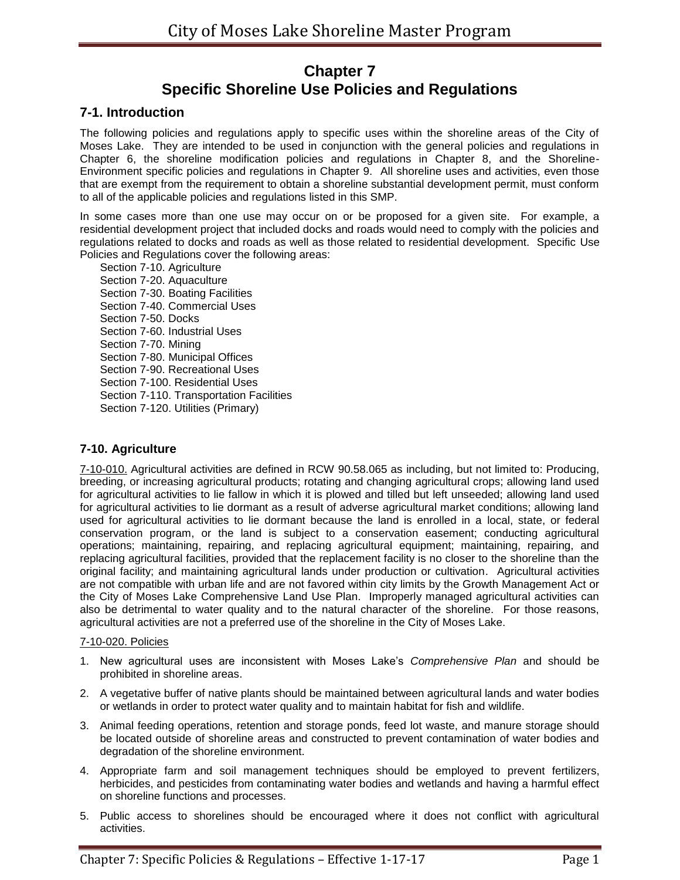# **Chapter 7 Specific Shoreline Use Policies and Regulations**

# **7-1. Introduction**

The following policies and regulations apply to specific uses within the shoreline areas of the City of Moses Lake. They are intended to be used in conjunction with the general policies and regulations in Chapter 6, the shoreline modification policies and regulations in Chapter 8, and the Shoreline-Environment specific policies and regulations in Chapter 9. All shoreline uses and activities, even those that are exempt from the requirement to obtain a shoreline substantial development permit, must conform to all of the applicable policies and regulations listed in this SMP.

In some cases more than one use may occur on or be proposed for a given site. For example, a residential development project that included docks and roads would need to comply with the policies and regulations related to docks and roads as well as those related to residential development. Specific Use Policies and Regulations cover the following areas:

Section 7-10. Agriculture Section 7-20. Aquaculture Section 7-30. Boating Facilities Section 7-40. Commercial Uses Section 7-50. Docks Section 7-60. Industrial Uses Section 7-70. Mining Section 7-80. Municipal Offices Section 7-90. Recreational Uses Section 7-100. Residential Uses Section 7-110. Transportation Facilities Section 7-120. Utilities (Primary)

# **7-10. Agriculture**

7-10-010. Agricultural activities are defined in RCW 90.58.065 as including, but not limited to: Producing, breeding, or increasing agricultural products; rotating and changing agricultural crops; allowing land used for agricultural activities to lie fallow in which it is plowed and tilled but left unseeded; allowing land used for agricultural activities to lie dormant as a result of adverse agricultural market conditions; allowing land used for agricultural activities to lie dormant because the land is enrolled in a local, state, or federal conservation program, or the land is subject to a conservation easement; conducting agricultural operations; maintaining, repairing, and replacing agricultural equipment; maintaining, repairing, and replacing agricultural facilities, provided that the replacement facility is no closer to the shoreline than the original facility; and maintaining agricultural lands under production or cultivation. Agricultural activities are not compatible with urban life and are not favored within city limits by the Growth Management Act or the City of Moses Lake Comprehensive Land Use Plan. Improperly managed agricultural activities can also be detrimental to water quality and to the natural character of the shoreline. For those reasons, agricultural activities are not a preferred use of the shoreline in the City of Moses Lake.

# 7-10-020. Policies

- 1. New agricultural uses are inconsistent with Moses Lake's *Comprehensive Plan* and should be prohibited in shoreline areas.
- 2. A vegetative buffer of native plants should be maintained between agricultural lands and water bodies or wetlands in order to protect water quality and to maintain habitat for fish and wildlife.
- 3. Animal feeding operations, retention and storage ponds, feed lot waste, and manure storage should be located outside of shoreline areas and constructed to prevent contamination of water bodies and degradation of the shoreline environment.
- 4. Appropriate farm and soil management techniques should be employed to prevent fertilizers, herbicides, and pesticides from contaminating water bodies and wetlands and having a harmful effect on shoreline functions and processes.
- 5. Public access to shorelines should be encouraged where it does not conflict with agricultural activities.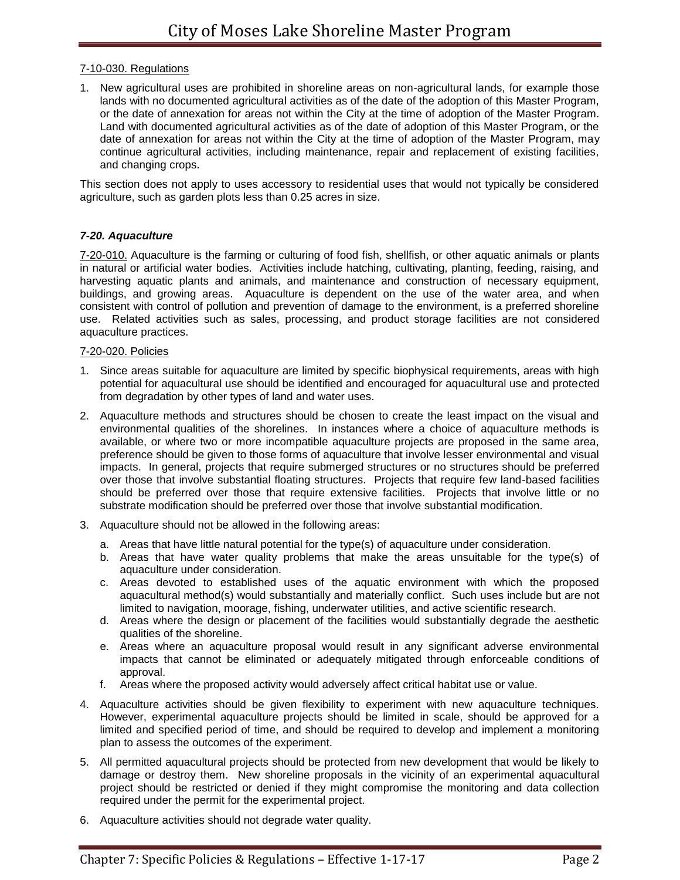## 7-10-030. Regulations

1. New agricultural uses are prohibited in shoreline areas on non-agricultural lands, for example those lands with no documented agricultural activities as of the date of the adoption of this Master Program, or the date of annexation for areas not within the City at the time of adoption of the Master Program. Land with documented agricultural activities as of the date of adoption of this Master Program, or the date of annexation for areas not within the City at the time of adoption of the Master Program, may continue agricultural activities, including maintenance, repair and replacement of existing facilities, and changing crops.

This section does not apply to uses accessory to residential uses that would not typically be considered agriculture, such as garden plots less than 0.25 acres in size.

## *7-20. Aquaculture*

7-20-010. Aquaculture is the farming or culturing of food fish, shellfish, or other aquatic animals or plants in natural or artificial water bodies. Activities include hatching, cultivating, planting, feeding, raising, and harvesting aquatic plants and animals, and maintenance and construction of necessary equipment, buildings, and growing areas. Aquaculture is dependent on the use of the water area, and when consistent with control of pollution and prevention of damage to the environment, is a preferred shoreline use. Related activities such as sales, processing, and product storage facilities are not considered aquaculture practices.

#### 7-20-020. Policies

- 1. Since areas suitable for aquaculture are limited by specific biophysical requirements, areas with high potential for aquacultural use should be identified and encouraged for aquacultural use and protected from degradation by other types of land and water uses.
- 2. Aquaculture methods and structures should be chosen to create the least impact on the visual and environmental qualities of the shorelines. In instances where a choice of aquaculture methods is available, or where two or more incompatible aquaculture projects are proposed in the same area, preference should be given to those forms of aquaculture that involve lesser environmental and visual impacts. In general, projects that require submerged structures or no structures should be preferred over those that involve substantial floating structures. Projects that require few land-based facilities should be preferred over those that require extensive facilities. Projects that involve little or no substrate modification should be preferred over those that involve substantial modification.
- 3. Aquaculture should not be allowed in the following areas:
	- a. Areas that have little natural potential for the type(s) of aquaculture under consideration.
	- b. Areas that have water quality problems that make the areas unsuitable for the type(s) of aquaculture under consideration.
	- c. Areas devoted to established uses of the aquatic environment with which the proposed aquacultural method(s) would substantially and materially conflict. Such uses include but are not limited to navigation, moorage, fishing, underwater utilities, and active scientific research.
	- d. Areas where the design or placement of the facilities would substantially degrade the aesthetic qualities of the shoreline.
	- e. Areas where an aquaculture proposal would result in any significant adverse environmental impacts that cannot be eliminated or adequately mitigated through enforceable conditions of approval.
	- f. Areas where the proposed activity would adversely affect critical habitat use or value.
- 4. Aquaculture activities should be given flexibility to experiment with new aquaculture techniques. However, experimental aquaculture projects should be limited in scale, should be approved for a limited and specified period of time, and should be required to develop and implement a monitoring plan to assess the outcomes of the experiment.
- 5. All permitted aquacultural projects should be protected from new development that would be likely to damage or destroy them. New shoreline proposals in the vicinity of an experimental aquacultural project should be restricted or denied if they might compromise the monitoring and data collection required under the permit for the experimental project.
- 6. Aquaculture activities should not degrade water quality.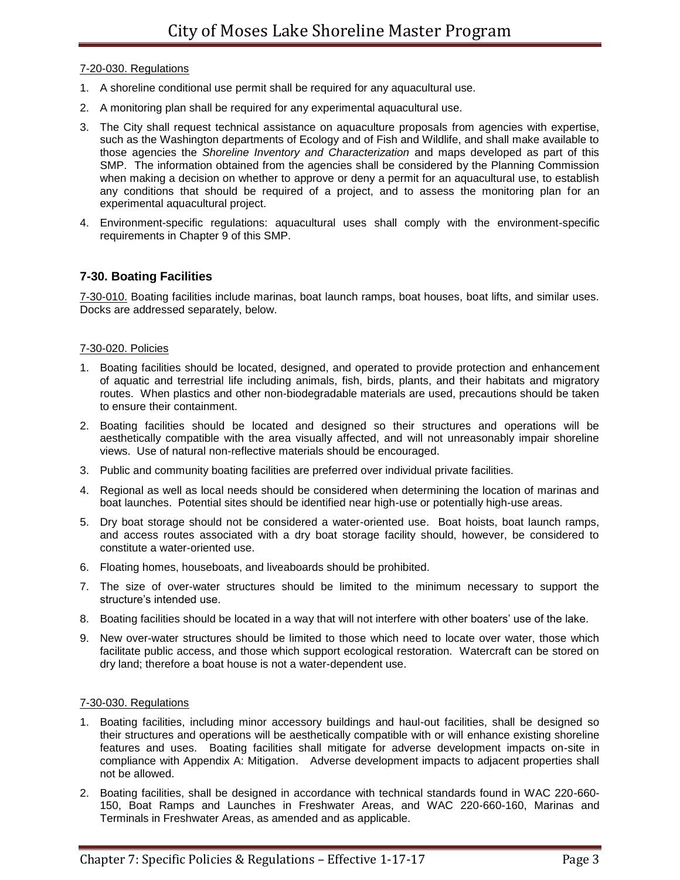## 7-20-030. Regulations

- 1. A shoreline conditional use permit shall be required for any aquacultural use.
- 2. A monitoring plan shall be required for any experimental aquacultural use.
- 3. The City shall request technical assistance on aquaculture proposals from agencies with expertise, such as the Washington departments of Ecology and of Fish and Wildlife, and shall make available to those agencies the *Shoreline Inventory and Characterization* and maps developed as part of this SMP. The information obtained from the agencies shall be considered by the Planning Commission when making a decision on whether to approve or deny a permit for an aquacultural use, to establish any conditions that should be required of a project, and to assess the monitoring plan for an experimental aquacultural project.
- 4. Environment-specific regulations: aquacultural uses shall comply with the environment-specific requirements in Chapter 9 of this SMP.

# **7-30. Boating Facilities**

7-30-010. Boating facilities include marinas, boat launch ramps, boat houses, boat lifts, and similar uses. Docks are addressed separately, below.

## 7-30-020. Policies

- 1. Boating facilities should be located, designed, and operated to provide protection and enhancement of aquatic and terrestrial life including animals, fish, birds, plants, and their habitats and migratory routes. When plastics and other non-biodegradable materials are used, precautions should be taken to ensure their containment.
- 2. Boating facilities should be located and designed so their structures and operations will be aesthetically compatible with the area visually affected, and will not unreasonably impair shoreline views. Use of natural non-reflective materials should be encouraged.
- 3. Public and community boating facilities are preferred over individual private facilities.
- 4. Regional as well as local needs should be considered when determining the location of marinas and boat launches. Potential sites should be identified near high-use or potentially high-use areas.
- 5. Dry boat storage should not be considered a water-oriented use. Boat hoists, boat launch ramps, and access routes associated with a dry boat storage facility should, however, be considered to constitute a water-oriented use.
- 6. Floating homes, houseboats, and liveaboards should be prohibited.
- 7. The size of over-water structures should be limited to the minimum necessary to support the structure's intended use.
- 8. Boating facilities should be located in a way that will not interfere with other boaters' use of the lake.
- 9. New over-water structures should be limited to those which need to locate over water, those which facilitate public access, and those which support ecological restoration. Watercraft can be stored on dry land; therefore a boat house is not a water-dependent use.

#### 7-30-030. Regulations

- 1. Boating facilities, including minor accessory buildings and haul-out facilities, shall be designed so their structures and operations will be aesthetically compatible with or will enhance existing shoreline features and uses. Boating facilities shall mitigate for adverse development impacts on-site in compliance with Appendix A: Mitigation. Adverse development impacts to adjacent properties shall not be allowed.
- 2. Boating facilities, shall be designed in accordance with technical standards found in WAC 220-660- 150, Boat Ramps and Launches in Freshwater Areas, and WAC 220-660-160, Marinas and Terminals in Freshwater Areas, as amended and as applicable.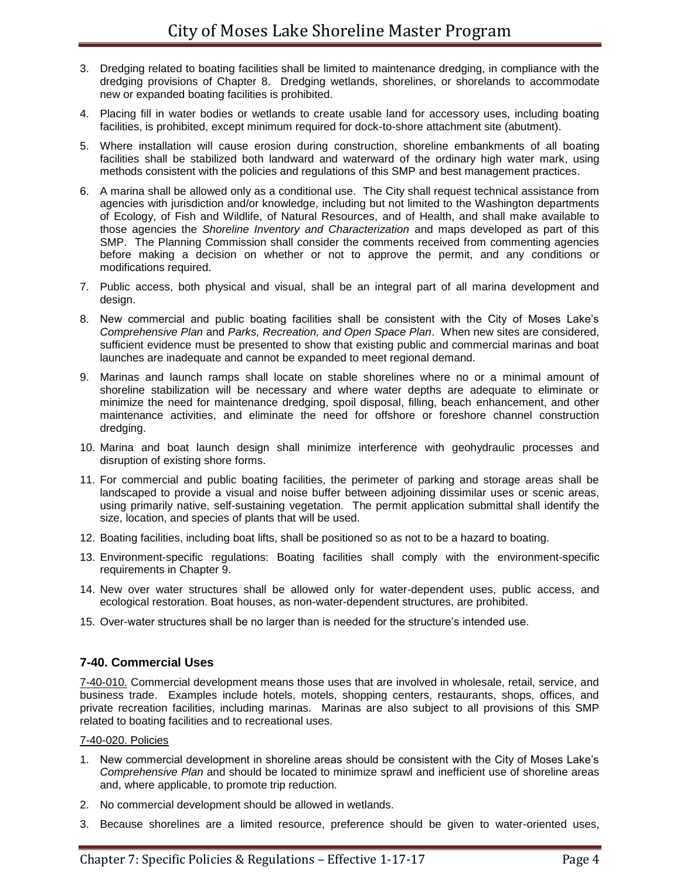- 3. Dredging related to boating facilities shall be limited to maintenance dredging, in compliance with the dredging provisions of Chapter 8. Dredging wetlands, shorelines, or shorelands to accommodate new or expanded boating facilities is prohibited.
- 4. Placing fill in water bodies or wetlands to create usable land for accessory uses, including boating facilities, is prohibited, except minimum required for dock-to-shore attachment site (abutment).
- 5. Where installation will cause erosion during construction, shoreline embankments of all boating facilities shall be stabilized both landward and waterward of the ordinary high water mark, using methods consistent with the policies and regulations of this SMP and best management practices.
- 6. A marina shall be allowed only as a conditional use. The City shall request technical assistance from agencies with jurisdiction and/or knowledge, including but not limited to the Washington departments of Ecology, of Fish and Wildlife, of Natural Resources, and of Health, and shall make available to those agencies the *Shoreline Inventory and Characterization* and maps developed as part of this SMP. The Planning Commission shall consider the comments received from commenting agencies before making a decision on whether or not to approve the permit, and any conditions or modifications required.
- 7. Public access, both physical and visual, shall be an integral part of all marina development and design.
- 8. New commercial and public boating facilities shall be consistent with the City of Moses Lake's *Comprehensive Plan* and *Parks, Recreation, and Open Space Plan*. When new sites are considered, sufficient evidence must be presented to show that existing public and commercial marinas and boat launches are inadequate and cannot be expanded to meet regional demand.
- 9. Marinas and launch ramps shall locate on stable shorelines where no or a minimal amount of shoreline stabilization will be necessary and where water depths are adequate to eliminate or minimize the need for maintenance dredging, spoil disposal, filling, beach enhancement, and other maintenance activities, and eliminate the need for offshore or foreshore channel construction dredging.
- 10. Marina and boat launch design shall minimize interference with geohydraulic processes and disruption of existing shore forms.
- 11. For commercial and public boating facilities, the perimeter of parking and storage areas shall be landscaped to provide a visual and noise buffer between adjoining dissimilar uses or scenic areas, using primarily native, self-sustaining vegetation. The permit application submittal shall identify the size, location, and species of plants that will be used.
- 12. Boating facilities, including boat lifts, shall be positioned so as not to be a hazard to boating.
- 13. Environment-specific regulations: Boating facilities shall comply with the environment-specific requirements in Chapter 9.
- 14. New over water structures shall be allowed only for water-dependent uses, public access, and ecological restoration. Boat houses, as non-water-dependent structures, are prohibited.
- 15. Over-water structures shall be no larger than is needed for the structure's intended use.

# **7-40. Commercial Uses**

7-40-010. Commercial development means those uses that are involved in wholesale, retail, service, and business trade. Examples include hotels, motels, shopping centers, restaurants, shops, offices, and private recreation facilities, including marinas. Marinas are also subject to all provisions of this SMP related to boating facilities and to recreational uses.

#### 7-40-020. Policies

- 1. New commercial development in shoreline areas should be consistent with the City of Moses Lake's *Comprehensive Plan* and should be located to minimize sprawl and inefficient use of shoreline areas and, where applicable, to promote trip reduction.
- 2. No commercial development should be allowed in wetlands.
- 3. Because shorelines are a limited resource, preference should be given to water-oriented uses,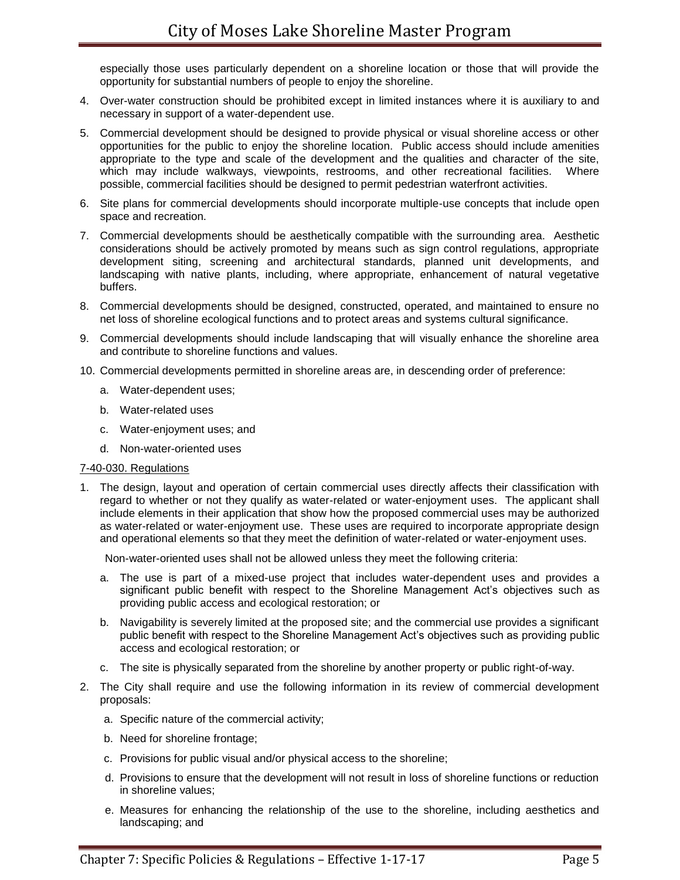especially those uses particularly dependent on a shoreline location or those that will provide the opportunity for substantial numbers of people to enjoy the shoreline.

- 4. Over-water construction should be prohibited except in limited instances where it is auxiliary to and necessary in support of a water-dependent use.
- 5. Commercial development should be designed to provide physical or visual shoreline access or other opportunities for the public to enjoy the shoreline location. Public access should include amenities appropriate to the type and scale of the development and the qualities and character of the site, which may include walkways, viewpoints, restrooms, and other recreational facilities. Where possible, commercial facilities should be designed to permit pedestrian waterfront activities.
- 6. Site plans for commercial developments should incorporate multiple-use concepts that include open space and recreation.
- 7. Commercial developments should be aesthetically compatible with the surrounding area. Aesthetic considerations should be actively promoted by means such as sign control regulations, appropriate development siting, screening and architectural standards, planned unit developments, and landscaping with native plants, including, where appropriate, enhancement of natural vegetative buffers.
- 8. Commercial developments should be designed, constructed, operated, and maintained to ensure no net loss of shoreline ecological functions and to protect areas and systems cultural significance.
- 9. Commercial developments should include landscaping that will visually enhance the shoreline area and contribute to shoreline functions and values.
- 10. Commercial developments permitted in shoreline areas are, in descending order of preference:
	- a. Water-dependent uses;
	- b. Water-related uses
	- c. Water-enjoyment uses; and
	- d. Non-water-oriented uses

#### 7-40-030. Regulations

1. The design, layout and operation of certain commercial uses directly affects their classification with regard to whether or not they qualify as water-related or water-enjoyment uses. The applicant shall include elements in their application that show how the proposed commercial uses may be authorized as water-related or water-enjoyment use. These uses are required to incorporate appropriate design and operational elements so that they meet the definition of water-related or water-enjoyment uses.

Non-water-oriented uses shall not be allowed unless they meet the following criteria:

- a. The use is part of a mixed-use project that includes water-dependent uses and provides a significant public benefit with respect to the Shoreline Management Act's objectives such as providing public access and ecological restoration; or
- b. Navigability is severely limited at the proposed site; and the commercial use provides a significant public benefit with respect to the Shoreline Management Act's objectives such as providing public access and ecological restoration; or
- c. The site is physically separated from the shoreline by another property or public right-of-way.
- 2. The City shall require and use the following information in its review of commercial development proposals:
	- a. Specific nature of the commercial activity;
	- b. Need for shoreline frontage;
	- c. Provisions for public visual and/or physical access to the shoreline;
	- d. Provisions to ensure that the development will not result in loss of shoreline functions or reduction in shoreline values;
	- e. Measures for enhancing the relationship of the use to the shoreline, including aesthetics and landscaping; and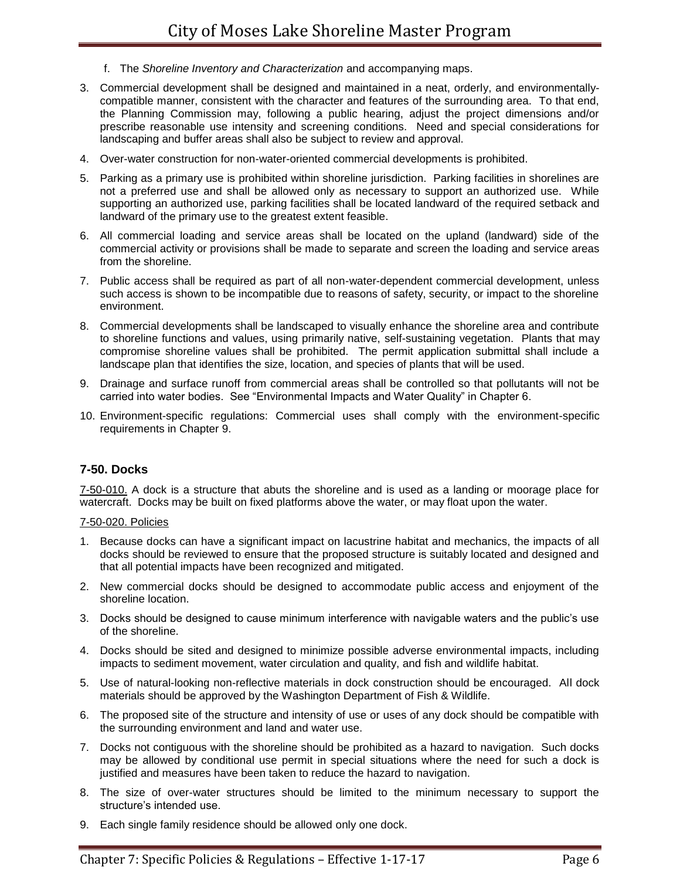- f. The *Shoreline Inventory and Characterization* and accompanying maps.
- 3. Commercial development shall be designed and maintained in a neat, orderly, and environmentallycompatible manner, consistent with the character and features of the surrounding area. To that end, the Planning Commission may, following a public hearing, adjust the project dimensions and/or prescribe reasonable use intensity and screening conditions. Need and special considerations for landscaping and buffer areas shall also be subject to review and approval.
- 4. Over-water construction for non-water-oriented commercial developments is prohibited.
- 5. Parking as a primary use is prohibited within shoreline jurisdiction. Parking facilities in shorelines are not a preferred use and shall be allowed only as necessary to support an authorized use. While supporting an authorized use, parking facilities shall be located landward of the required setback and landward of the primary use to the greatest extent feasible.
- 6. All commercial loading and service areas shall be located on the upland (landward) side of the commercial activity or provisions shall be made to separate and screen the loading and service areas from the shoreline.
- 7. Public access shall be required as part of all non-water-dependent commercial development, unless such access is shown to be incompatible due to reasons of safety, security, or impact to the shoreline environment.
- 8. Commercial developments shall be landscaped to visually enhance the shoreline area and contribute to shoreline functions and values, using primarily native, self-sustaining vegetation. Plants that may compromise shoreline values shall be prohibited. The permit application submittal shall include a landscape plan that identifies the size, location, and species of plants that will be used.
- 9. Drainage and surface runoff from commercial areas shall be controlled so that pollutants will not be carried into water bodies. See "Environmental Impacts and Water Quality" in Chapter 6.
- 10. Environment-specific regulations: Commercial uses shall comply with the environment-specific requirements in Chapter 9.

# **7-50. Docks**

7-50-010. A dock is a structure that abuts the shoreline and is used as a landing or moorage place for watercraft. Docks may be built on fixed platforms above the water, or may float upon the water.

#### 7-50-020. Policies

- 1. Because docks can have a significant impact on lacustrine habitat and mechanics, the impacts of all docks should be reviewed to ensure that the proposed structure is suitably located and designed and that all potential impacts have been recognized and mitigated.
- 2. New commercial docks should be designed to accommodate public access and enjoyment of the shoreline location.
- 3. Docks should be designed to cause minimum interference with navigable waters and the public's use of the shoreline.
- 4. Docks should be sited and designed to minimize possible adverse environmental impacts, including impacts to sediment movement, water circulation and quality, and fish and wildlife habitat.
- 5. Use of natural-looking non-reflective materials in dock construction should be encouraged. All dock materials should be approved by the Washington Department of Fish & Wildlife.
- 6. The proposed site of the structure and intensity of use or uses of any dock should be compatible with the surrounding environment and land and water use.
- 7. Docks not contiguous with the shoreline should be prohibited as a hazard to navigation. Such docks may be allowed by conditional use permit in special situations where the need for such a dock is justified and measures have been taken to reduce the hazard to navigation.
- 8. The size of over-water structures should be limited to the minimum necessary to support the structure's intended use.
- 9. Each single family residence should be allowed only one dock.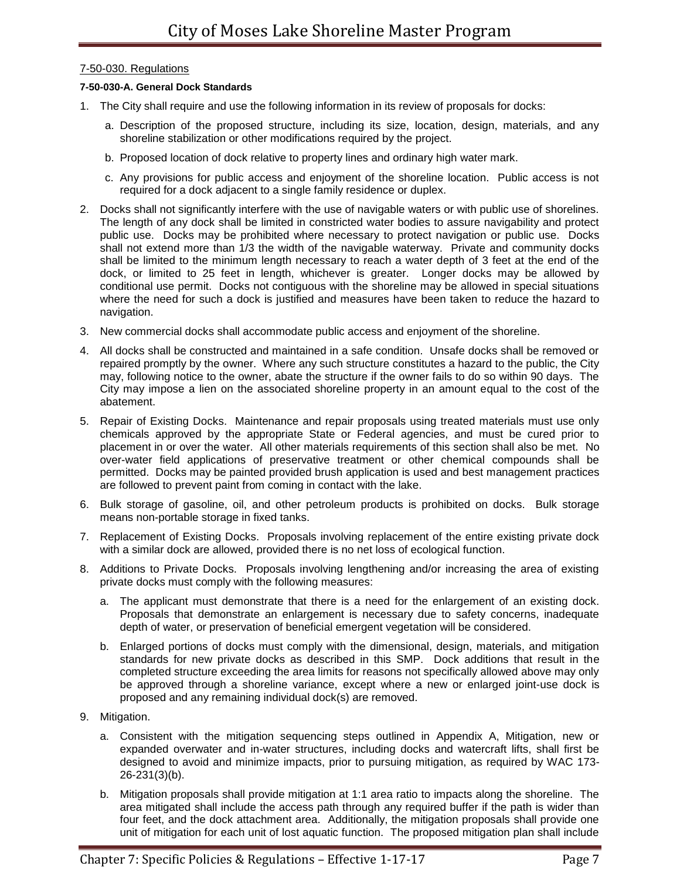## 7-50-030. Regulations

#### **7-50-030-A. General Dock Standards**

- 1. The City shall require and use the following information in its review of proposals for docks:
	- a. Description of the proposed structure, including its size, location, design, materials, and any shoreline stabilization or other modifications required by the project.
	- b. Proposed location of dock relative to property lines and ordinary high water mark.
	- c. Any provisions for public access and enjoyment of the shoreline location. Public access is not required for a dock adjacent to a single family residence or duplex.
- 2. Docks shall not significantly interfere with the use of navigable waters or with public use of shorelines. The length of any dock shall be limited in constricted water bodies to assure navigability and protect public use. Docks may be prohibited where necessary to protect navigation or public use. Docks shall not extend more than 1/3 the width of the navigable waterway. Private and community docks shall be limited to the minimum length necessary to reach a water depth of 3 feet at the end of the dock, or limited to 25 feet in length, whichever is greater. Longer docks may be allowed by conditional use permit. Docks not contiguous with the shoreline may be allowed in special situations where the need for such a dock is justified and measures have been taken to reduce the hazard to navigation.
- 3. New commercial docks shall accommodate public access and enjoyment of the shoreline.
- 4. All docks shall be constructed and maintained in a safe condition. Unsafe docks shall be removed or repaired promptly by the owner. Where any such structure constitutes a hazard to the public, the City may, following notice to the owner, abate the structure if the owner fails to do so within 90 days. The City may impose a lien on the associated shoreline property in an amount equal to the cost of the abatement.
- 5. Repair of Existing Docks. Maintenance and repair proposals using treated materials must use only chemicals approved by the appropriate State or Federal agencies, and must be cured prior to placement in or over the water. All other materials requirements of this section shall also be met. No over-water field applications of preservative treatment or other chemical compounds shall be permitted. Docks may be painted provided brush application is used and best management practices are followed to prevent paint from coming in contact with the lake.
- 6. Bulk storage of gasoline, oil, and other petroleum products is prohibited on docks. Bulk storage means non-portable storage in fixed tanks.
- 7. Replacement of Existing Docks. Proposals involving replacement of the entire existing private dock with a similar dock are allowed, provided there is no net loss of ecological function.
- 8. Additions to Private Docks. Proposals involving lengthening and/or increasing the area of existing private docks must comply with the following measures:
	- a. The applicant must demonstrate that there is a need for the enlargement of an existing dock. Proposals that demonstrate an enlargement is necessary due to safety concerns, inadequate depth of water, or preservation of beneficial emergent vegetation will be considered.
	- b. Enlarged portions of docks must comply with the dimensional, design, materials, and mitigation standards for new private docks as described in this SMP. Dock additions that result in the completed structure exceeding the area limits for reasons not specifically allowed above may only be approved through a shoreline variance, except where a new or enlarged joint-use dock is proposed and any remaining individual dock(s) are removed.
- 9. Mitigation.
	- a. Consistent with the mitigation sequencing steps outlined in Appendix A, Mitigation, new or expanded overwater and in-water structures, including docks and watercraft lifts, shall first be designed to avoid and minimize impacts, prior to pursuing mitigation, as required by WAC 173- 26-231(3)(b).
	- b. Mitigation proposals shall provide mitigation at 1:1 area ratio to impacts along the shoreline. The area mitigated shall include the access path through any required buffer if the path is wider than four feet, and the dock attachment area. Additionally, the mitigation proposals shall provide one unit of mitigation for each unit of lost aquatic function. The proposed mitigation plan shall include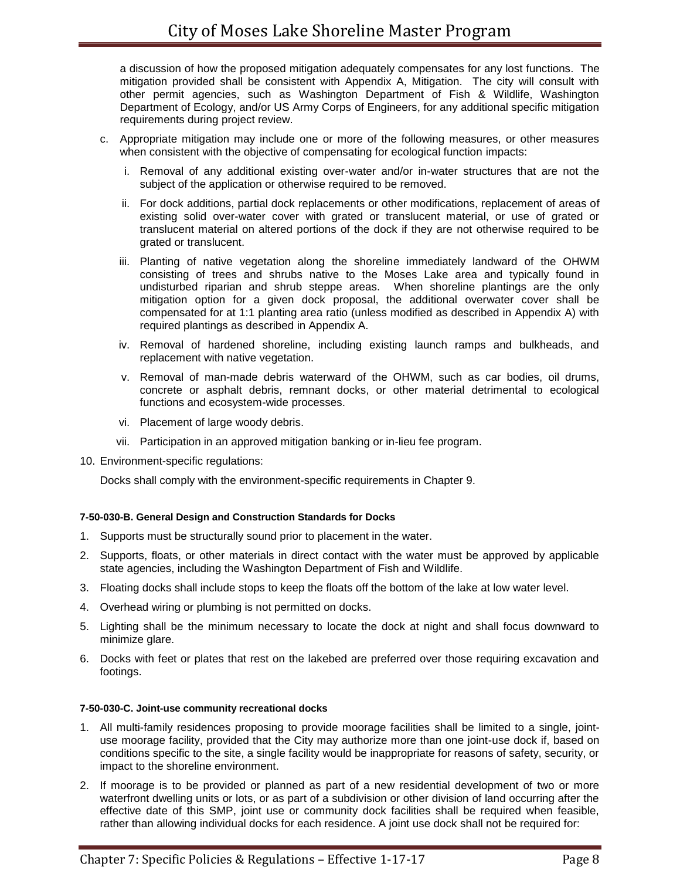a discussion of how the proposed mitigation adequately compensates for any lost functions. The mitigation provided shall be consistent with Appendix A, Mitigation. The city will consult with other permit agencies, such as Washington Department of Fish & Wildlife, Washington Department of Ecology, and/or US Army Corps of Engineers, for any additional specific mitigation requirements during project review.

- c. Appropriate mitigation may include one or more of the following measures, or other measures when consistent with the objective of compensating for ecological function impacts:
	- i. Removal of any additional existing over-water and/or in-water structures that are not the subject of the application or otherwise required to be removed.
	- ii. For dock additions, partial dock replacements or other modifications, replacement of areas of existing solid over-water cover with grated or translucent material, or use of grated or translucent material on altered portions of the dock if they are not otherwise required to be grated or translucent.
	- iii. Planting of native vegetation along the shoreline immediately landward of the OHWM consisting of trees and shrubs native to the Moses Lake area and typically found in undisturbed riparian and shrub steppe areas. When shoreline plantings are the only mitigation option for a given dock proposal, the additional overwater cover shall be compensated for at 1:1 planting area ratio (unless modified as described in Appendix A) with required plantings as described in Appendix A.
	- iv. Removal of hardened shoreline, including existing launch ramps and bulkheads, and replacement with native vegetation.
	- v. Removal of man-made debris waterward of the OHWM, such as car bodies, oil drums, concrete or asphalt debris, remnant docks, or other material detrimental to ecological functions and ecosystem-wide processes.
	- vi. Placement of large woody debris.
	- vii. Participation in an approved mitigation banking or in-lieu fee program.
- 10. Environment-specific regulations:

Docks shall comply with the environment-specific requirements in Chapter 9.

#### **7-50-030-B. General Design and Construction Standards for Docks**

- 1. Supports must be structurally sound prior to placement in the water.
- 2. Supports, floats, or other materials in direct contact with the water must be approved by applicable state agencies, including the Washington Department of Fish and Wildlife.
- 3. Floating docks shall include stops to keep the floats off the bottom of the lake at low water level.
- 4. Overhead wiring or plumbing is not permitted on docks.
- 5. Lighting shall be the minimum necessary to locate the dock at night and shall focus downward to minimize glare.
- 6. Docks with feet or plates that rest on the lakebed are preferred over those requiring excavation and footings.

#### **7-50-030-C. Joint-use community recreational docks**

- 1. All multi-family residences proposing to provide moorage facilities shall be limited to a single, jointuse moorage facility, provided that the City may authorize more than one joint-use dock if, based on conditions specific to the site, a single facility would be inappropriate for reasons of safety, security, or impact to the shoreline environment.
- 2. If moorage is to be provided or planned as part of a new residential development of two or more waterfront dwelling units or lots, or as part of a subdivision or other division of land occurring after the effective date of this SMP, joint use or community dock facilities shall be required when feasible, rather than allowing individual docks for each residence. A joint use dock shall not be required for: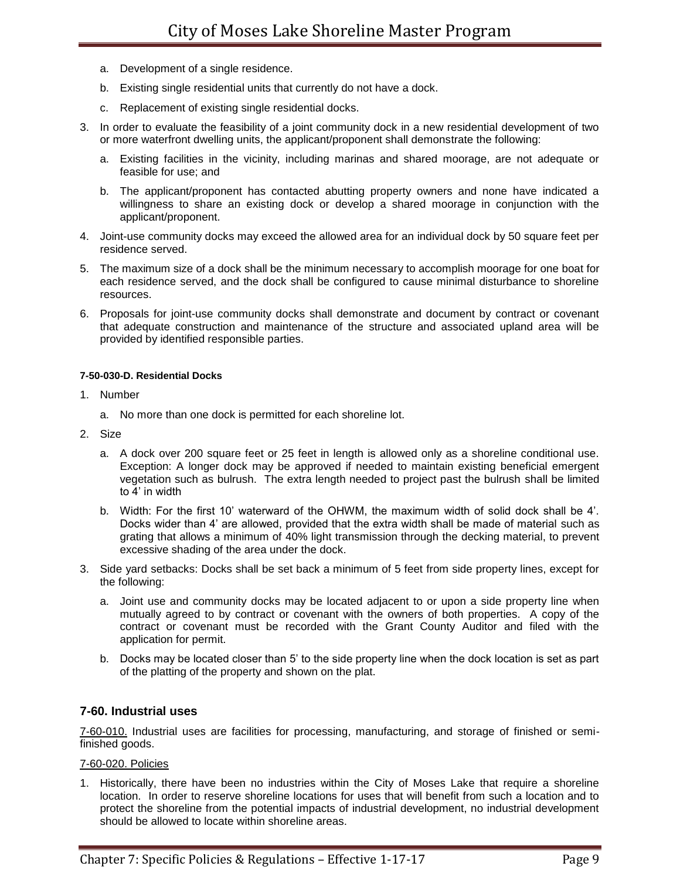- a. Development of a single residence.
- b. Existing single residential units that currently do not have a dock.
- c. Replacement of existing single residential docks.
- 3. In order to evaluate the feasibility of a joint community dock in a new residential development of two or more waterfront dwelling units, the applicant/proponent shall demonstrate the following:
	- a. Existing facilities in the vicinity, including marinas and shared moorage, are not adequate or feasible for use; and
	- b. The applicant/proponent has contacted abutting property owners and none have indicated a willingness to share an existing dock or develop a shared moorage in conjunction with the applicant/proponent.
- 4. Joint-use community docks may exceed the allowed area for an individual dock by 50 square feet per residence served.
- 5. The maximum size of a dock shall be the minimum necessary to accomplish moorage for one boat for each residence served, and the dock shall be configured to cause minimal disturbance to shoreline resources.
- 6. Proposals for joint-use community docks shall demonstrate and document by contract or covenant that adequate construction and maintenance of the structure and associated upland area will be provided by identified responsible parties.

#### **7-50-030-D. Residential Docks**

- 1. Number
	- a. No more than one dock is permitted for each shoreline lot.
- 2. Size
	- a. A dock over 200 square feet or 25 feet in length is allowed only as a shoreline conditional use. Exception: A longer dock may be approved if needed to maintain existing beneficial emergent vegetation such as bulrush. The extra length needed to project past the bulrush shall be limited to 4' in width
	- b. Width: For the first 10' waterward of the OHWM, the maximum width of solid dock shall be 4'. Docks wider than 4' are allowed, provided that the extra width shall be made of material such as grating that allows a minimum of 40% light transmission through the decking material, to prevent excessive shading of the area under the dock.
- 3. Side yard setbacks: Docks shall be set back a minimum of 5 feet from side property lines, except for the following:
	- a. Joint use and community docks may be located adjacent to or upon a side property line when mutually agreed to by contract or covenant with the owners of both properties. A copy of the contract or covenant must be recorded with the Grant County Auditor and filed with the application for permit.
	- b. Docks may be located closer than 5' to the side property line when the dock location is set as part of the platting of the property and shown on the plat.

# **7-60. Industrial uses**

7-60-010. Industrial uses are facilities for processing, manufacturing, and storage of finished or semifinished goods.

#### 7-60-020. Policies

1. Historically, there have been no industries within the City of Moses Lake that require a shoreline location. In order to reserve shoreline locations for uses that will benefit from such a location and to protect the shoreline from the potential impacts of industrial development, no industrial development should be allowed to locate within shoreline areas.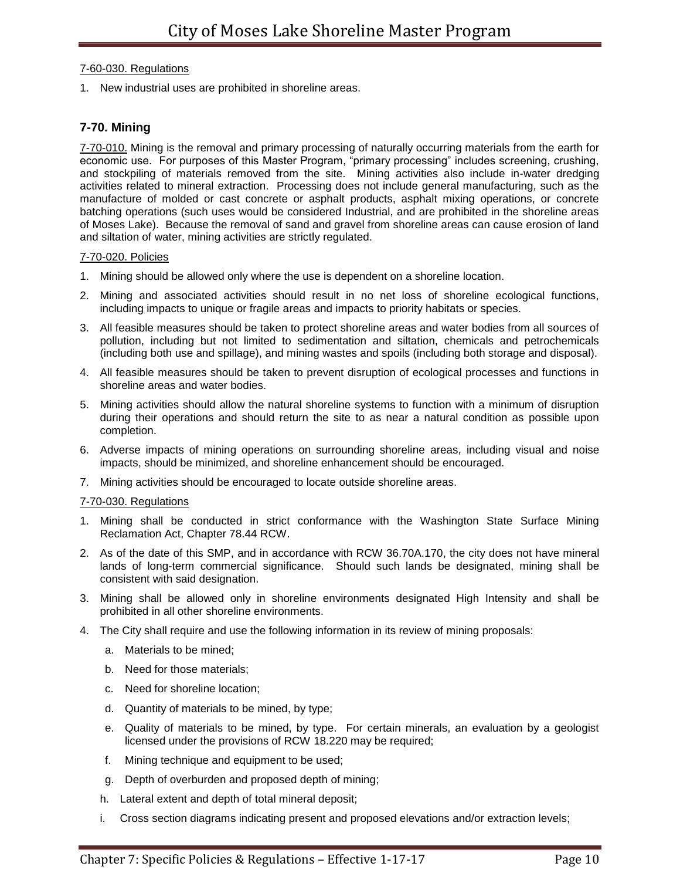## 7-60-030. Regulations

1. New industrial uses are prohibited in shoreline areas.

# **7-70. Mining**

7-70-010. Mining is the removal and primary processing of naturally occurring materials from the earth for economic use. For purposes of this Master Program, "primary processing" includes screening, crushing, and stockpiling of materials removed from the site. Mining activities also include in-water dredging activities related to mineral extraction. Processing does not include general manufacturing, such as the manufacture of molded or cast concrete or asphalt products, asphalt mixing operations, or concrete batching operations (such uses would be considered Industrial, and are prohibited in the shoreline areas of Moses Lake). Because the removal of sand and gravel from shoreline areas can cause erosion of land and siltation of water, mining activities are strictly regulated.

## 7-70-020. Policies

- 1. Mining should be allowed only where the use is dependent on a shoreline location.
- 2. Mining and associated activities should result in no net loss of shoreline ecological functions, including impacts to unique or fragile areas and impacts to priority habitats or species.
- 3. All feasible measures should be taken to protect shoreline areas and water bodies from all sources of pollution, including but not limited to sedimentation and siltation, chemicals and petrochemicals (including both use and spillage), and mining wastes and spoils (including both storage and disposal).
- 4. All feasible measures should be taken to prevent disruption of ecological processes and functions in shoreline areas and water bodies.
- 5. Mining activities should allow the natural shoreline systems to function with a minimum of disruption during their operations and should return the site to as near a natural condition as possible upon completion.
- 6. Adverse impacts of mining operations on surrounding shoreline areas, including visual and noise impacts, should be minimized, and shoreline enhancement should be encouraged.
- 7. Mining activities should be encouraged to locate outside shoreline areas.

# 7-70-030. Regulations

- 1. Mining shall be conducted in strict conformance with the Washington State Surface Mining Reclamation Act, Chapter 78.44 RCW.
- 2. As of the date of this SMP, and in accordance with RCW 36.70A.170, the city does not have mineral lands of long-term commercial significance. Should such lands be designated, mining shall be consistent with said designation.
- 3. Mining shall be allowed only in shoreline environments designated High Intensity and shall be prohibited in all other shoreline environments.
- 4. The City shall require and use the following information in its review of mining proposals:
	- a. Materials to be mined;
	- b. Need for those materials;
	- c. Need for shoreline location;
	- d. Quantity of materials to be mined, by type;
	- e. Quality of materials to be mined, by type. For certain minerals, an evaluation by a geologist licensed under the provisions of RCW 18.220 may be required;
	- f. Mining technique and equipment to be used;
	- g. Depth of overburden and proposed depth of mining;
	- h. Lateral extent and depth of total mineral deposit;
	- i. Cross section diagrams indicating present and proposed elevations and/or extraction levels;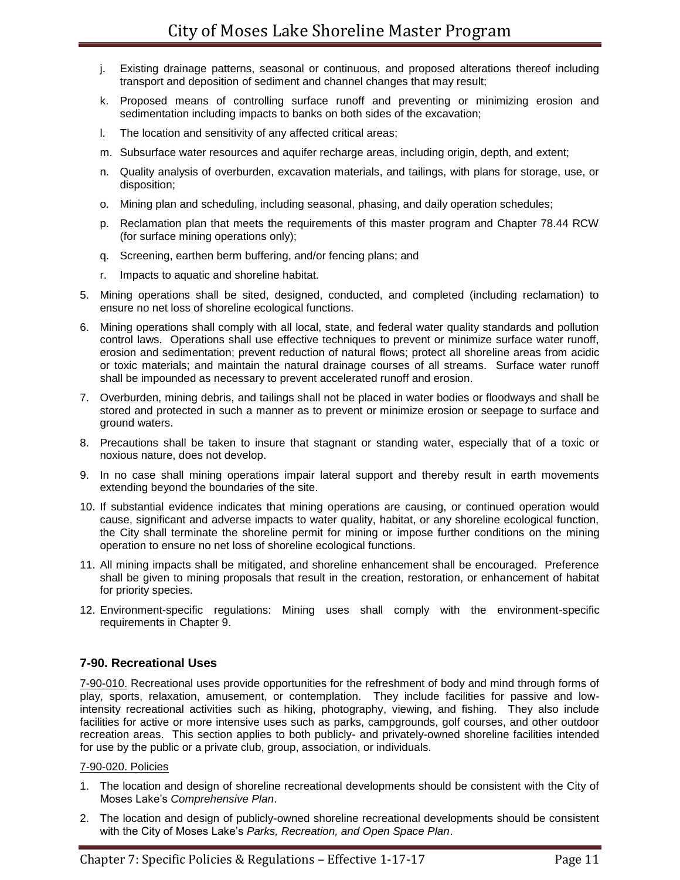- j. Existing drainage patterns, seasonal or continuous, and proposed alterations thereof including transport and deposition of sediment and channel changes that may result;
- k. Proposed means of controlling surface runoff and preventing or minimizing erosion and sedimentation including impacts to banks on both sides of the excavation;
- l. The location and sensitivity of any affected critical areas;
- m. Subsurface water resources and aquifer recharge areas, including origin, depth, and extent;
- n. Quality analysis of overburden, excavation materials, and tailings, with plans for storage, use, or disposition;
- o. Mining plan and scheduling, including seasonal, phasing, and daily operation schedules;
- p. Reclamation plan that meets the requirements of this master program and Chapter 78.44 RCW (for surface mining operations only);
- q. Screening, earthen berm buffering, and/or fencing plans; and
- r. Impacts to aquatic and shoreline habitat.
- 5. Mining operations shall be sited, designed, conducted, and completed (including reclamation) to ensure no net loss of shoreline ecological functions.
- 6. Mining operations shall comply with all local, state, and federal water quality standards and pollution control laws. Operations shall use effective techniques to prevent or minimize surface water runoff, erosion and sedimentation; prevent reduction of natural flows; protect all shoreline areas from acidic or toxic materials; and maintain the natural drainage courses of all streams. Surface water runoff shall be impounded as necessary to prevent accelerated runoff and erosion.
- 7. Overburden, mining debris, and tailings shall not be placed in water bodies or floodways and shall be stored and protected in such a manner as to prevent or minimize erosion or seepage to surface and ground waters.
- 8. Precautions shall be taken to insure that stagnant or standing water, especially that of a toxic or noxious nature, does not develop.
- 9. In no case shall mining operations impair lateral support and thereby result in earth movements extending beyond the boundaries of the site.
- 10. If substantial evidence indicates that mining operations are causing, or continued operation would cause, significant and adverse impacts to water quality, habitat, or any shoreline ecological function, the City shall terminate the shoreline permit for mining or impose further conditions on the mining operation to ensure no net loss of shoreline ecological functions.
- 11. All mining impacts shall be mitigated, and shoreline enhancement shall be encouraged. Preference shall be given to mining proposals that result in the creation, restoration, or enhancement of habitat for priority species.
- 12. Environment-specific regulations: Mining uses shall comply with the environment-specific requirements in Chapter 9.

# **7-90. Recreational Uses**

7-90-010. Recreational uses provide opportunities for the refreshment of body and mind through forms of play, sports, relaxation, amusement, or contemplation. They include facilities for passive and lowintensity recreational activities such as hiking, photography, viewing, and fishing. They also include facilities for active or more intensive uses such as parks, campgrounds, golf courses, and other outdoor recreation areas. This section applies to both publicly- and privately-owned shoreline facilities intended for use by the public or a private club, group, association, or individuals.

#### 7-90-020. Policies

- 1. The location and design of shoreline recreational developments should be consistent with the City of Moses Lake's *Comprehensive Plan*.
- 2. The location and design of publicly-owned shoreline recreational developments should be consistent with the City of Moses Lake's *Parks, Recreation, and Open Space Plan*.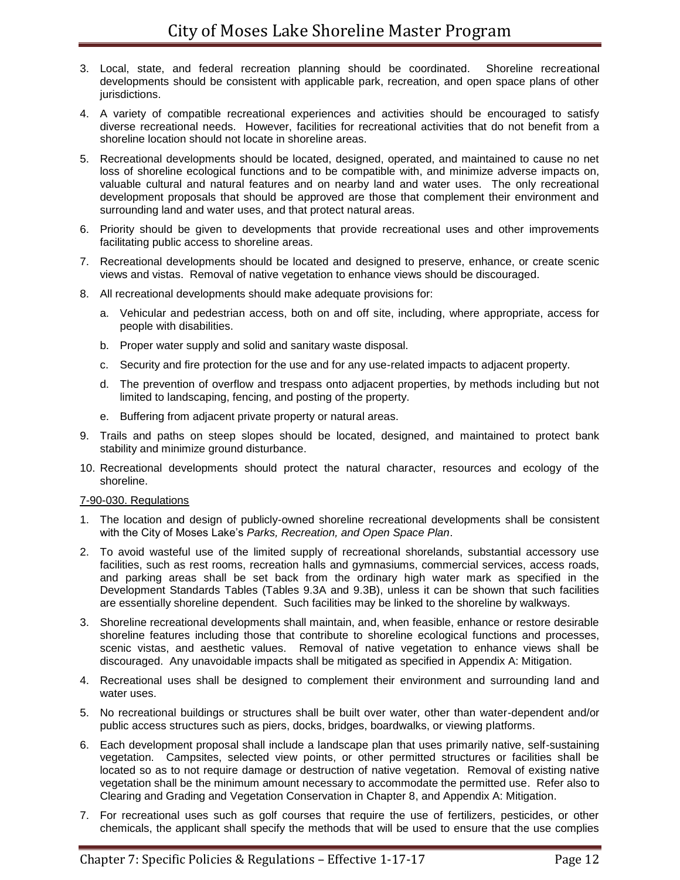- 3. Local, state, and federal recreation planning should be coordinated. Shoreline recreational developments should be consistent with applicable park, recreation, and open space plans of other jurisdictions.
- 4. A variety of compatible recreational experiences and activities should be encouraged to satisfy diverse recreational needs. However, facilities for recreational activities that do not benefit from a shoreline location should not locate in shoreline areas.
- 5. Recreational developments should be located, designed, operated, and maintained to cause no net loss of shoreline ecological functions and to be compatible with, and minimize adverse impacts on, valuable cultural and natural features and on nearby land and water uses. The only recreational development proposals that should be approved are those that complement their environment and surrounding land and water uses, and that protect natural areas.
- 6. Priority should be given to developments that provide recreational uses and other improvements facilitating public access to shoreline areas.
- 7. Recreational developments should be located and designed to preserve, enhance, or create scenic views and vistas. Removal of native vegetation to enhance views should be discouraged.
- 8. All recreational developments should make adequate provisions for:
	- a. Vehicular and pedestrian access, both on and off site, including, where appropriate, access for people with disabilities.
	- b. Proper water supply and solid and sanitary waste disposal.
	- c. Security and fire protection for the use and for any use-related impacts to adjacent property.
	- d. The prevention of overflow and trespass onto adjacent properties, by methods including but not limited to landscaping, fencing, and posting of the property.
	- e. Buffering from adjacent private property or natural areas.
- 9. Trails and paths on steep slopes should be located, designed, and maintained to protect bank stability and minimize ground disturbance.
- 10. Recreational developments should protect the natural character, resources and ecology of the shoreline.

#### 7-90-030. Regulations

- 1. The location and design of publicly-owned shoreline recreational developments shall be consistent with the City of Moses Lake's *Parks, Recreation, and Open Space Plan*.
- 2. To avoid wasteful use of the limited supply of recreational shorelands, substantial accessory use facilities, such as rest rooms, recreation halls and gymnasiums, commercial services, access roads, and parking areas shall be set back from the ordinary high water mark as specified in the Development Standards Tables (Tables 9.3A and 9.3B), unless it can be shown that such facilities are essentially shoreline dependent. Such facilities may be linked to the shoreline by walkways.
- 3. Shoreline recreational developments shall maintain, and, when feasible, enhance or restore desirable shoreline features including those that contribute to shoreline ecological functions and processes, scenic vistas, and aesthetic values. Removal of native vegetation to enhance views shall be discouraged. Any unavoidable impacts shall be mitigated as specified in Appendix A: Mitigation.
- 4. Recreational uses shall be designed to complement their environment and surrounding land and water uses.
- 5. No recreational buildings or structures shall be built over water, other than water-dependent and/or public access structures such as piers, docks, bridges, boardwalks, or viewing platforms.
- 6. Each development proposal shall include a landscape plan that uses primarily native, self-sustaining vegetation. Campsites, selected view points, or other permitted structures or facilities shall be located so as to not require damage or destruction of native vegetation. Removal of existing native vegetation shall be the minimum amount necessary to accommodate the permitted use. Refer also to Clearing and Grading and Vegetation Conservation in Chapter 8, and Appendix A: Mitigation.
- 7. For recreational uses such as golf courses that require the use of fertilizers, pesticides, or other chemicals, the applicant shall specify the methods that will be used to ensure that the use complies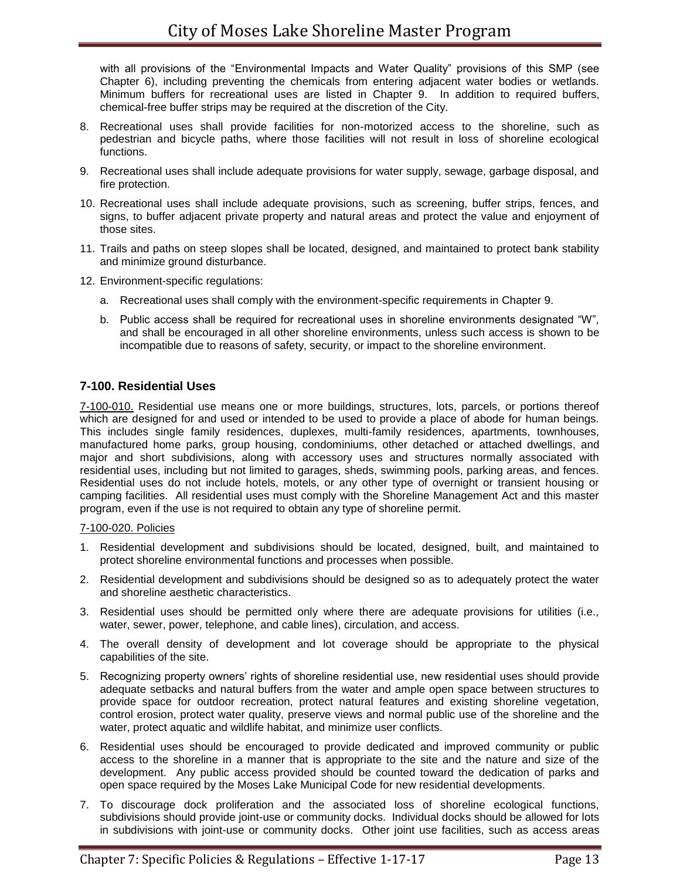with all provisions of the "Environmental Impacts and Water Quality" provisions of this SMP (see Chapter 6), including preventing the chemicals from entering adjacent water bodies or wetlands. Minimum buffers for recreational uses are listed in Chapter 9. In addition to required buffers, chemical-free buffer strips may be required at the discretion of the City.

- 8. Recreational uses shall provide facilities for non-motorized access to the shoreline, such as pedestrian and bicycle paths, where those facilities will not result in loss of shoreline ecological functions.
- 9. Recreational uses shall include adequate provisions for water supply, sewage, garbage disposal, and fire protection.
- 10. Recreational uses shall include adequate provisions, such as screening, buffer strips, fences, and signs, to buffer adjacent private property and natural areas and protect the value and enjoyment of those sites.
- 11. Trails and paths on steep slopes shall be located, designed, and maintained to protect bank stability and minimize ground disturbance.
- 12. Environment-specific regulations:
	- a. Recreational uses shall comply with the environment-specific requirements in Chapter 9.
	- b. Public access shall be required for recreational uses in shoreline environments designated "W", and shall be encouraged in all other shoreline environments, unless such access is shown to be incompatible due to reasons of safety, security, or impact to the shoreline environment.

# **7-100. Residential Uses**

7-100-010. Residential use means one or more buildings, structures, lots, parcels, or portions thereof which are designed for and used or intended to be used to provide a place of abode for human beings. This includes single family residences, duplexes, multi-family residences, apartments, townhouses, manufactured home parks, group housing, condominiums, other detached or attached dwellings, and major and short subdivisions, along with accessory uses and structures normally associated with residential uses, including but not limited to garages, sheds, swimming pools, parking areas, and fences. Residential uses do not include hotels, motels, or any other type of overnight or transient housing or camping facilities. All residential uses must comply with the Shoreline Management Act and this master program, even if the use is not required to obtain any type of shoreline permit.

#### 7-100-020. Policies

- 1. Residential development and subdivisions should be located, designed, built, and maintained to protect shoreline environmental functions and processes when possible.
- 2. Residential development and subdivisions should be designed so as to adequately protect the water and shoreline aesthetic characteristics.
- 3. Residential uses should be permitted only where there are adequate provisions for utilities (i.e., water, sewer, power, telephone, and cable lines), circulation, and access.
- 4. The overall density of development and lot coverage should be appropriate to the physical capabilities of the site.
- 5. Recognizing property owners' rights of shoreline residential use, new residential uses should provide adequate setbacks and natural buffers from the water and ample open space between structures to provide space for outdoor recreation, protect natural features and existing shoreline vegetation, control erosion, protect water quality, preserve views and normal public use of the shoreline and the water, protect aquatic and wildlife habitat, and minimize user conflicts.
- 6. Residential uses should be encouraged to provide dedicated and improved community or public access to the shoreline in a manner that is appropriate to the site and the nature and size of the development. Any public access provided should be counted toward the dedication of parks and open space required by the Moses Lake Municipal Code for new residential developments.
- 7. To discourage dock proliferation and the associated loss of shoreline ecological functions, subdivisions should provide joint-use or community docks. Individual docks should be allowed for lots in subdivisions with joint-use or community docks. Other joint use facilities, such as access areas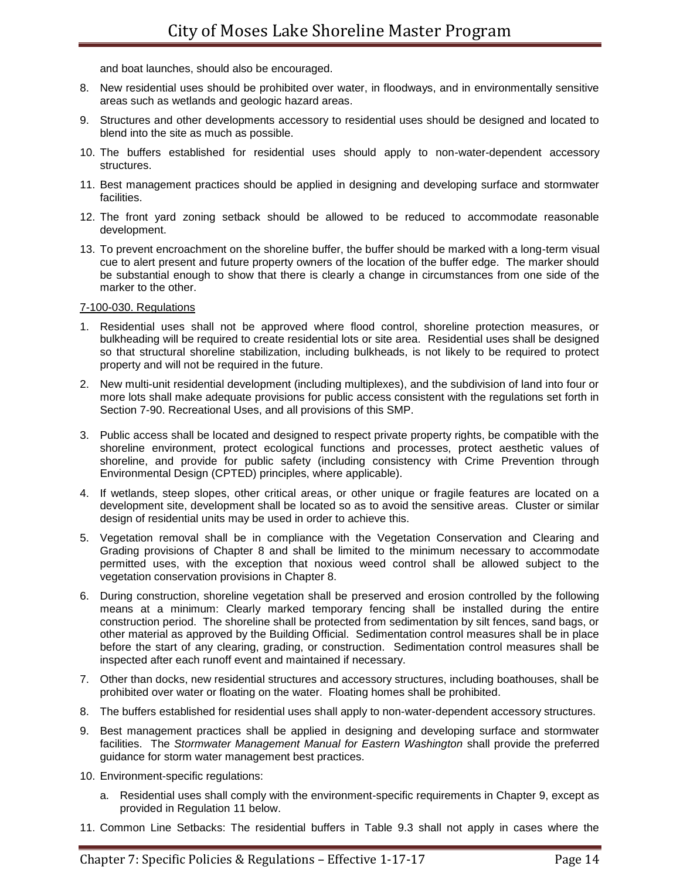and boat launches, should also be encouraged.

- 8. New residential uses should be prohibited over water, in floodways, and in environmentally sensitive areas such as wetlands and geologic hazard areas.
- 9. Structures and other developments accessory to residential uses should be designed and located to blend into the site as much as possible.
- 10. The buffers established for residential uses should apply to non-water-dependent accessory structures.
- 11. Best management practices should be applied in designing and developing surface and stormwater facilities.
- 12. The front yard zoning setback should be allowed to be reduced to accommodate reasonable development.
- 13. To prevent encroachment on the shoreline buffer, the buffer should be marked with a long-term visual cue to alert present and future property owners of the location of the buffer edge. The marker should be substantial enough to show that there is clearly a change in circumstances from one side of the marker to the other.

7-100-030. Regulations

- 1. Residential uses shall not be approved where flood control, shoreline protection measures, or bulkheading will be required to create residential lots or site area. Residential uses shall be designed so that structural shoreline stabilization, including bulkheads, is not likely to be required to protect property and will not be required in the future.
- 2. New multi-unit residential development (including multiplexes), and the subdivision of land into four or more lots shall make adequate provisions for public access consistent with the regulations set forth in Section 7-90. Recreational Uses, and all provisions of this SMP.
- 3. Public access shall be located and designed to respect private property rights, be compatible with the shoreline environment, protect ecological functions and processes, protect aesthetic values of shoreline, and provide for public safety (including consistency with Crime Prevention through Environmental Design (CPTED) principles, where applicable).
- 4. If wetlands, steep slopes, other critical areas, or other unique or fragile features are located on a development site, development shall be located so as to avoid the sensitive areas. Cluster or similar design of residential units may be used in order to achieve this.
- 5. Vegetation removal shall be in compliance with the Vegetation Conservation and Clearing and Grading provisions of Chapter 8 and shall be limited to the minimum necessary to accommodate permitted uses, with the exception that noxious weed control shall be allowed subject to the vegetation conservation provisions in Chapter 8.
- 6. During construction, shoreline vegetation shall be preserved and erosion controlled by the following means at a minimum: Clearly marked temporary fencing shall be installed during the entire construction period. The shoreline shall be protected from sedimentation by silt fences, sand bags, or other material as approved by the Building Official. Sedimentation control measures shall be in place before the start of any clearing, grading, or construction. Sedimentation control measures shall be inspected after each runoff event and maintained if necessary.
- 7. Other than docks, new residential structures and accessory structures, including boathouses, shall be prohibited over water or floating on the water. Floating homes shall be prohibited.
- 8. The buffers established for residential uses shall apply to non-water-dependent accessory structures.
- 9. Best management practices shall be applied in designing and developing surface and stormwater facilities. The *Stormwater Management Manual for Eastern Washington* shall provide the preferred guidance for storm water management best practices.
- 10. Environment-specific regulations:
	- a. Residential uses shall comply with the environment-specific requirements in Chapter 9, except as provided in Regulation 11 below.
- 11. Common Line Setbacks: The residential buffers in Table 9.3 shall not apply in cases where the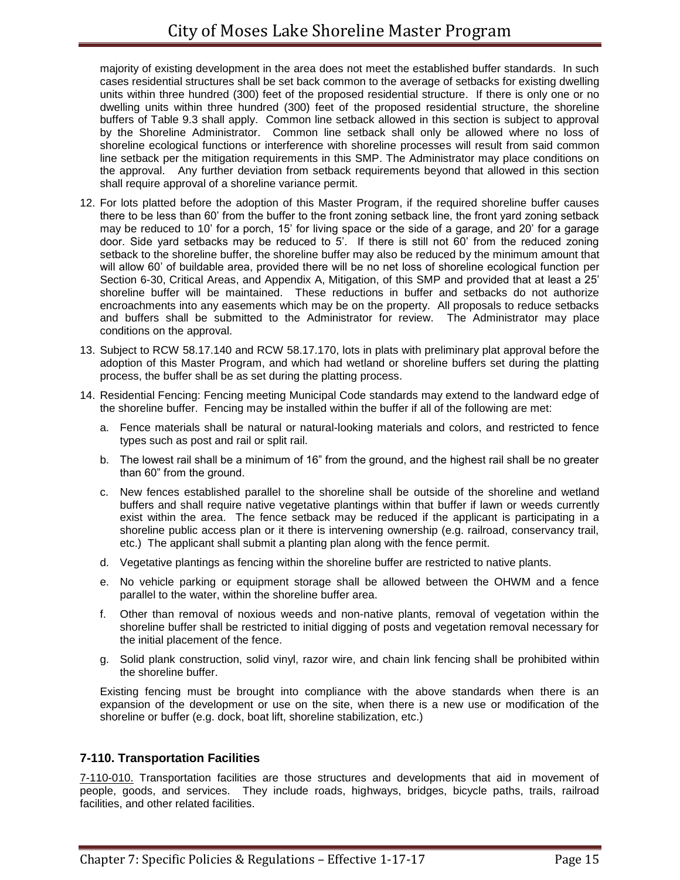majority of existing development in the area does not meet the established buffer standards. In such cases residential structures shall be set back common to the average of setbacks for existing dwelling units within three hundred (300) feet of the proposed residential structure. If there is only one or no dwelling units within three hundred (300) feet of the proposed residential structure, the shoreline buffers of Table 9.3 shall apply. Common line setback allowed in this section is subject to approval by the Shoreline Administrator. Common line setback shall only be allowed where no loss of shoreline ecological functions or interference with shoreline processes will result from said common line setback per the mitigation requirements in this SMP. The Administrator may place conditions on the approval. Any further deviation from setback requirements beyond that allowed in this section shall require approval of a shoreline variance permit.

- 12. For lots platted before the adoption of this Master Program, if the required shoreline buffer causes there to be less than 60' from the buffer to the front zoning setback line, the front yard zoning setback may be reduced to 10' for a porch, 15' for living space or the side of a garage, and 20' for a garage door. Side yard setbacks may be reduced to 5'. If there is still not 60' from the reduced zoning setback to the shoreline buffer, the shoreline buffer may also be reduced by the minimum amount that will allow 60' of buildable area, provided there will be no net loss of shoreline ecological function per Section 6-30, Critical Areas, and Appendix A, Mitigation, of this SMP and provided that at least a 25' shoreline buffer will be maintained. These reductions in buffer and setbacks do not authorize encroachments into any easements which may be on the property. All proposals to reduce setbacks and buffers shall be submitted to the Administrator for review. The Administrator may place conditions on the approval.
- 13. Subject to RCW 58.17.140 and RCW 58.17.170, lots in plats with preliminary plat approval before the adoption of this Master Program, and which had wetland or shoreline buffers set during the platting process, the buffer shall be as set during the platting process.
- 14. Residential Fencing: Fencing meeting Municipal Code standards may extend to the landward edge of the shoreline buffer. Fencing may be installed within the buffer if all of the following are met:
	- a. Fence materials shall be natural or natural-looking materials and colors, and restricted to fence types such as post and rail or split rail.
	- b. The lowest rail shall be a minimum of 16" from the ground, and the highest rail shall be no greater than 60" from the ground.
	- c. New fences established parallel to the shoreline shall be outside of the shoreline and wetland buffers and shall require native vegetative plantings within that buffer if lawn or weeds currently exist within the area. The fence setback may be reduced if the applicant is participating in a shoreline public access plan or it there is intervening ownership (e.g. railroad, conservancy trail, etc.) The applicant shall submit a planting plan along with the fence permit.
	- d. Vegetative plantings as fencing within the shoreline buffer are restricted to native plants.
	- e. No vehicle parking or equipment storage shall be allowed between the OHWM and a fence parallel to the water, within the shoreline buffer area.
	- f. Other than removal of noxious weeds and non-native plants, removal of vegetation within the shoreline buffer shall be restricted to initial digging of posts and vegetation removal necessary for the initial placement of the fence.
	- g. Solid plank construction, solid vinyl, razor wire, and chain link fencing shall be prohibited within the shoreline buffer.

Existing fencing must be brought into compliance with the above standards when there is an expansion of the development or use on the site, when there is a new use or modification of the shoreline or buffer (e.g. dock, boat lift, shoreline stabilization, etc.)

# **7-110. Transportation Facilities**

7-110-010. Transportation facilities are those structures and developments that aid in movement of people, goods, and services. They include roads, highways, bridges, bicycle paths, trails, railroad facilities, and other related facilities.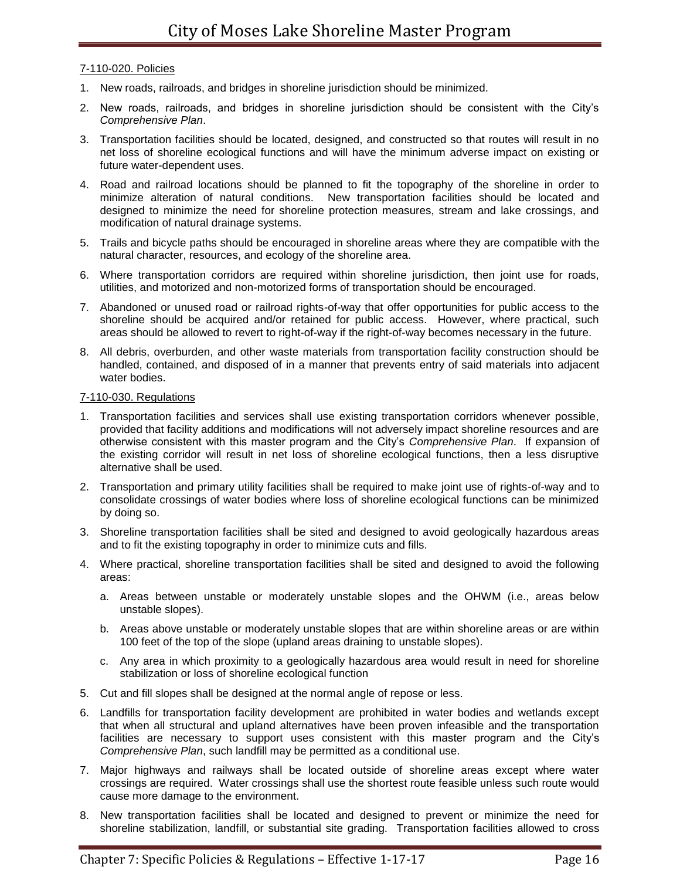## 7-110-020. Policies

- 1. New roads, railroads, and bridges in shoreline jurisdiction should be minimized.
- 2. New roads, railroads, and bridges in shoreline jurisdiction should be consistent with the City's *Comprehensive Plan*.
- 3. Transportation facilities should be located, designed, and constructed so that routes will result in no net loss of shoreline ecological functions and will have the minimum adverse impact on existing or future water-dependent uses.
- 4. Road and railroad locations should be planned to fit the topography of the shoreline in order to minimize alteration of natural conditions. New transportation facilities should be located and designed to minimize the need for shoreline protection measures, stream and lake crossings, and modification of natural drainage systems.
- 5. Trails and bicycle paths should be encouraged in shoreline areas where they are compatible with the natural character, resources, and ecology of the shoreline area.
- 6. Where transportation corridors are required within shoreline jurisdiction, then joint use for roads, utilities, and motorized and non-motorized forms of transportation should be encouraged.
- 7. Abandoned or unused road or railroad rights-of-way that offer opportunities for public access to the shoreline should be acquired and/or retained for public access. However, where practical, such areas should be allowed to revert to right-of-way if the right-of-way becomes necessary in the future.
- 8. All debris, overburden, and other waste materials from transportation facility construction should be handled, contained, and disposed of in a manner that prevents entry of said materials into adjacent water bodies.

## 7-110-030. Regulations

- 1. Transportation facilities and services shall use existing transportation corridors whenever possible, provided that facility additions and modifications will not adversely impact shoreline resources and are otherwise consistent with this master program and the City's *Comprehensive Plan*. If expansion of the existing corridor will result in net loss of shoreline ecological functions, then a less disruptive alternative shall be used.
- 2. Transportation and primary utility facilities shall be required to make joint use of rights-of-way and to consolidate crossings of water bodies where loss of shoreline ecological functions can be minimized by doing so.
- 3. Shoreline transportation facilities shall be sited and designed to avoid geologically hazardous areas and to fit the existing topography in order to minimize cuts and fills.
- 4. Where practical, shoreline transportation facilities shall be sited and designed to avoid the following areas:
	- a. Areas between unstable or moderately unstable slopes and the OHWM (i.e., areas below unstable slopes).
	- b. Areas above unstable or moderately unstable slopes that are within shoreline areas or are within 100 feet of the top of the slope (upland areas draining to unstable slopes).
	- c. Any area in which proximity to a geologically hazardous area would result in need for shoreline stabilization or loss of shoreline ecological function
- 5. Cut and fill slopes shall be designed at the normal angle of repose or less.
- 6. Landfills for transportation facility development are prohibited in water bodies and wetlands except that when all structural and upland alternatives have been proven infeasible and the transportation facilities are necessary to support uses consistent with this master program and the City's *Comprehensive Plan*, such landfill may be permitted as a conditional use.
- 7. Major highways and railways shall be located outside of shoreline areas except where water crossings are required. Water crossings shall use the shortest route feasible unless such route would cause more damage to the environment.
- 8. New transportation facilities shall be located and designed to prevent or minimize the need for shoreline stabilization, landfill, or substantial site grading. Transportation facilities allowed to cross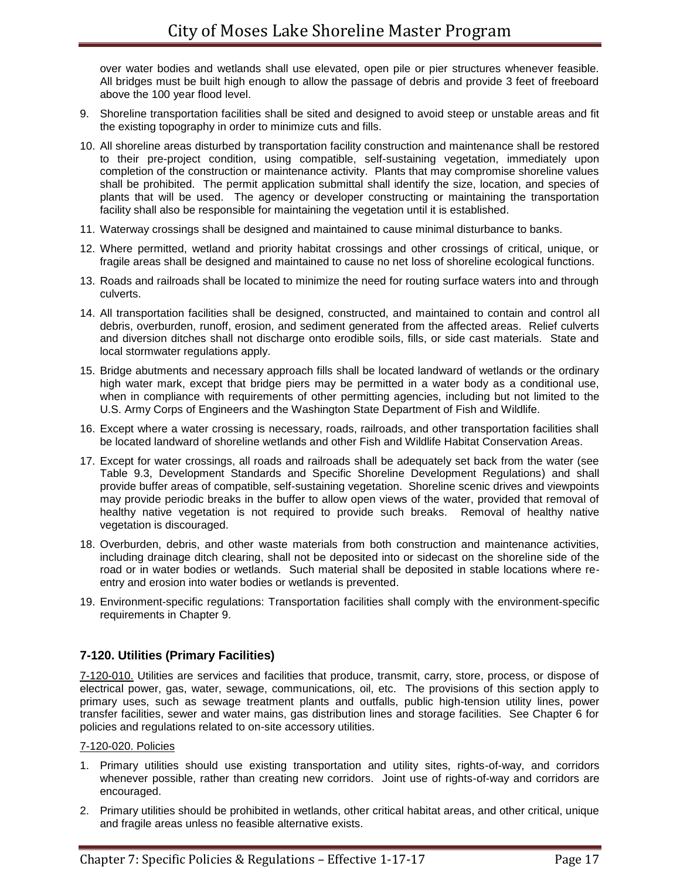over water bodies and wetlands shall use elevated, open pile or pier structures whenever feasible. All bridges must be built high enough to allow the passage of debris and provide 3 feet of freeboard above the 100 year flood level.

- 9. Shoreline transportation facilities shall be sited and designed to avoid steep or unstable areas and fit the existing topography in order to minimize cuts and fills.
- 10. All shoreline areas disturbed by transportation facility construction and maintenance shall be restored to their pre-project condition, using compatible, self-sustaining vegetation, immediately upon completion of the construction or maintenance activity. Plants that may compromise shoreline values shall be prohibited. The permit application submittal shall identify the size, location, and species of plants that will be used. The agency or developer constructing or maintaining the transportation facility shall also be responsible for maintaining the vegetation until it is established.
- 11. Waterway crossings shall be designed and maintained to cause minimal disturbance to banks.
- 12. Where permitted, wetland and priority habitat crossings and other crossings of critical, unique, or fragile areas shall be designed and maintained to cause no net loss of shoreline ecological functions.
- 13. Roads and railroads shall be located to minimize the need for routing surface waters into and through culverts.
- 14. All transportation facilities shall be designed, constructed, and maintained to contain and control all debris, overburden, runoff, erosion, and sediment generated from the affected areas. Relief culverts and diversion ditches shall not discharge onto erodible soils, fills, or side cast materials. State and local stormwater regulations apply.
- 15. Bridge abutments and necessary approach fills shall be located landward of wetlands or the ordinary high water mark, except that bridge piers may be permitted in a water body as a conditional use, when in compliance with requirements of other permitting agencies, including but not limited to the U.S. Army Corps of Engineers and the Washington State Department of Fish and Wildlife.
- 16. Except where a water crossing is necessary, roads, railroads, and other transportation facilities shall be located landward of shoreline wetlands and other Fish and Wildlife Habitat Conservation Areas.
- 17. Except for water crossings, all roads and railroads shall be adequately set back from the water (see Table 9.3, Development Standards and Specific Shoreline Development Regulations) and shall provide buffer areas of compatible, self-sustaining vegetation. Shoreline scenic drives and viewpoints may provide periodic breaks in the buffer to allow open views of the water, provided that removal of healthy native vegetation is not required to provide such breaks. Removal of healthy native vegetation is discouraged.
- 18. Overburden, debris, and other waste materials from both construction and maintenance activities, including drainage ditch clearing, shall not be deposited into or sidecast on the shoreline side of the road or in water bodies or wetlands. Such material shall be deposited in stable locations where reentry and erosion into water bodies or wetlands is prevented.
- 19. Environment-specific regulations: Transportation facilities shall comply with the environment-specific requirements in Chapter 9.

# **7-120. Utilities (Primary Facilities)**

7-120-010. Utilities are services and facilities that produce, transmit, carry, store, process, or dispose of electrical power, gas, water, sewage, communications, oil, etc. The provisions of this section apply to primary uses, such as sewage treatment plants and outfalls, public high-tension utility lines, power transfer facilities, sewer and water mains, gas distribution lines and storage facilities. See Chapter 6 for policies and regulations related to on-site accessory utilities.

#### 7-120-020. Policies

- 1. Primary utilities should use existing transportation and utility sites, rights-of-way, and corridors whenever possible, rather than creating new corridors. Joint use of rights-of-way and corridors are encouraged.
- 2. Primary utilities should be prohibited in wetlands, other critical habitat areas, and other critical, unique and fragile areas unless no feasible alternative exists.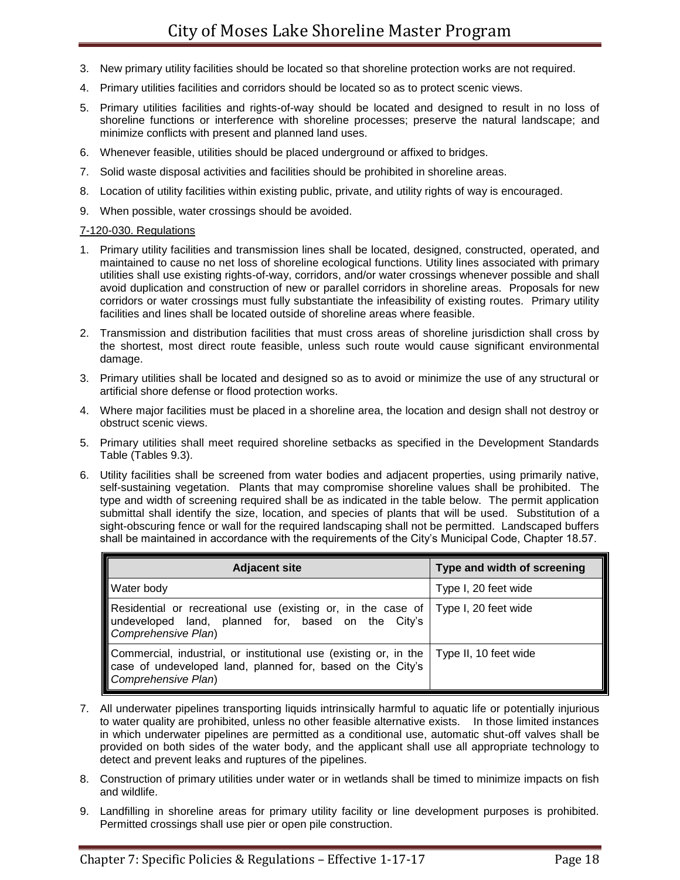- 3. New primary utility facilities should be located so that shoreline protection works are not required.
- 4. Primary utilities facilities and corridors should be located so as to protect scenic views.
- 5. Primary utilities facilities and rights-of-way should be located and designed to result in no loss of shoreline functions or interference with shoreline processes; preserve the natural landscape; and minimize conflicts with present and planned land uses.
- 6. Whenever feasible, utilities should be placed underground or affixed to bridges.
- 7. Solid waste disposal activities and facilities should be prohibited in shoreline areas.
- 8. Location of utility facilities within existing public, private, and utility rights of way is encouraged.
- 9. When possible, water crossings should be avoided.

#### 7-120-030. Regulations

- 1. Primary utility facilities and transmission lines shall be located, designed, constructed, operated, and maintained to cause no net loss of shoreline ecological functions. Utility lines associated with primary utilities shall use existing rights-of-way, corridors, and/or water crossings whenever possible and shall avoid duplication and construction of new or parallel corridors in shoreline areas. Proposals for new corridors or water crossings must fully substantiate the infeasibility of existing routes. Primary utility facilities and lines shall be located outside of shoreline areas where feasible.
- 2. Transmission and distribution facilities that must cross areas of shoreline jurisdiction shall cross by the shortest, most direct route feasible, unless such route would cause significant environmental damage.
- 3. Primary utilities shall be located and designed so as to avoid or minimize the use of any structural or artificial shore defense or flood protection works.
- 4. Where major facilities must be placed in a shoreline area, the location and design shall not destroy or obstruct scenic views.
- 5. Primary utilities shall meet required shoreline setbacks as specified in the Development Standards Table (Tables 9.3).
- 6. Utility facilities shall be screened from water bodies and adjacent properties, using primarily native, self-sustaining vegetation. Plants that may compromise shoreline values shall be prohibited. The type and width of screening required shall be as indicated in the table below. The permit application submittal shall identify the size, location, and species of plants that will be used. Substitution of a sight-obscuring fence or wall for the required landscaping shall not be permitted. Landscaped buffers shall be maintained in accordance with the requirements of the City's Municipal Code, Chapter 18.57.

| <b>Adjacent site</b>                                                                                                                                                           | Type and width of screening |
|--------------------------------------------------------------------------------------------------------------------------------------------------------------------------------|-----------------------------|
| <b>Water body</b>                                                                                                                                                              | Type I, 20 feet wide        |
| Residential or recreational use (existing or, in the case of   Type I, 20 feet wide<br>undeveloped land, planned for, based on the City's<br>Comprehensive Plan)               |                             |
| Commercial, industrial, or institutional use (existing or, in the   Type II, 10 feet wide<br>case of undeveloped land, planned for, based on the City's<br>Comprehensive Plan) |                             |

- 7. All underwater pipelines transporting liquids intrinsically harmful to aquatic life or potentially injurious to water quality are prohibited, unless no other feasible alternative exists. In those limited instances in which underwater pipelines are permitted as a conditional use, automatic shut-off valves shall be provided on both sides of the water body, and the applicant shall use all appropriate technology to detect and prevent leaks and ruptures of the pipelines.
- 8. Construction of primary utilities under water or in wetlands shall be timed to minimize impacts on fish and wildlife.
- 9. Landfilling in shoreline areas for primary utility facility or line development purposes is prohibited. Permitted crossings shall use pier or open pile construction.